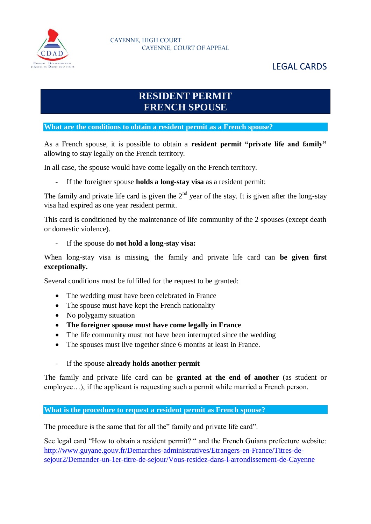

# **RESIDENT PERMIT FRENCH SPOUSE**

**What are the conditions to obtain a resident permit as a French spouse?**

As a French spouse, it is possible to obtain a **resident permit "private life and family"** allowing to stay legally on the French territory.

In all case, the spouse would have come legally on the French territory.

- If the foreigner spouse **holds a long-stay visa** as a resident permit:

The family and private life card is given the  $2<sup>nd</sup>$  year of the stay. It is given after the long-stay visa had expired as one year resident permit.

This card is conditioned by the maintenance of life community of the 2 spouses (except death or domestic violence).

# - If the spouse do **not hold a long-stay visa:**

When long-stay visa is missing, the family and private life card can **be given first exceptionally.**

Several conditions must be fulfilled for the request to be granted:

- The wedding must have been celebrated in France
- The spouse must have kept the French nationality
- No polygamy situation
- **The foreigner spouse must have come legally in France**
- The life community must not have been interrupted since the wedding
- The spouses must live together since 6 months at least in France.
- If the spouse **already holds another permit**

The family and private life card can be **granted at the end of another** (as student or employee…), if the applicant is requesting such a permit while married a French person.

# **What is the procedure to request a resident permit as French spouse?**

The procedure is the same that for all the" family and private life card".

See legal card "How to obtain a resident permit? " and the French Guiana prefecture website: [http://www.guyane.gouv.fr/Demarches-administratives/Etrangers-en-France/Titres-de](http://www.guyane.gouv.fr/Demarches-administratives/Etrangers-en-France/Titres-de-sejour2/Demander-un-1er-titre-de-sejour/Vous-residez-dans-l-arrondissement-de-Cayenne)[sejour2/Demander-un-1er-titre-de-sejour/Vous-residez-dans-l-arrondissement-de-Cayenne](http://www.guyane.gouv.fr/Demarches-administratives/Etrangers-en-France/Titres-de-sejour2/Demander-un-1er-titre-de-sejour/Vous-residez-dans-l-arrondissement-de-Cayenne)